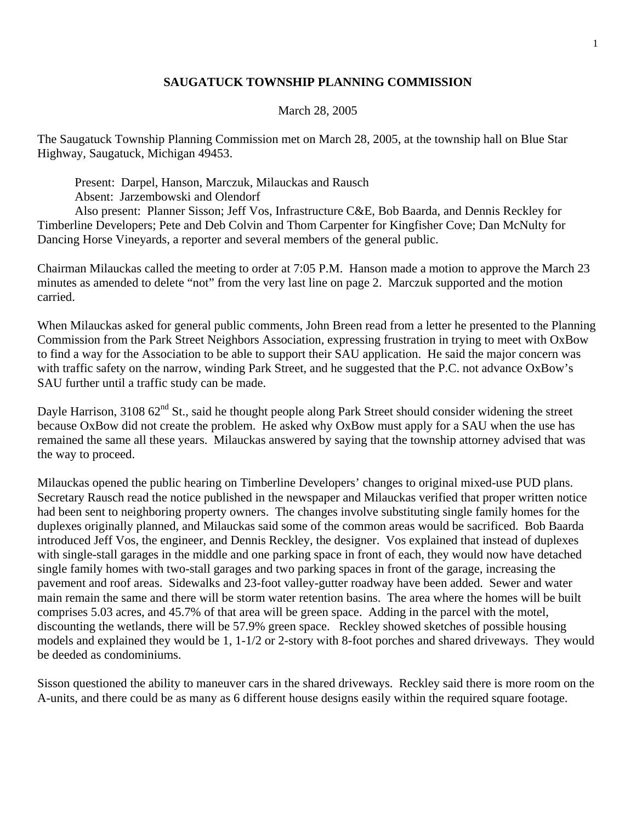## **SAUGATUCK TOWNSHIP PLANNING COMMISSION**

## March 28, 2005

The Saugatuck Township Planning Commission met on March 28, 2005, at the township hall on Blue Star Highway, Saugatuck, Michigan 49453.

Present: Darpel, Hanson, Marczuk, Milauckas and Rausch

Absent: Jarzembowski and Olendorf

 Also present: Planner Sisson; Jeff Vos, Infrastructure C&E, Bob Baarda, and Dennis Reckley for Timberline Developers; Pete and Deb Colvin and Thom Carpenter for Kingfisher Cove; Dan McNulty for Dancing Horse Vineyards, a reporter and several members of the general public.

Chairman Milauckas called the meeting to order at 7:05 P.M. Hanson made a motion to approve the March 23 minutes as amended to delete "not" from the very last line on page 2. Marczuk supported and the motion carried.

When Milauckas asked for general public comments, John Breen read from a letter he presented to the Planning Commission from the Park Street Neighbors Association, expressing frustration in trying to meet with OxBow to find a way for the Association to be able to support their SAU application. He said the major concern was with traffic safety on the narrow, winding Park Street, and he suggested that the P.C. not advance OxBow's SAU further until a traffic study can be made.

Dayle Harrison, 3108 62<sup>nd</sup> St., said he thought people along Park Street should consider widening the street because OxBow did not create the problem. He asked why OxBow must apply for a SAU when the use has remained the same all these years. Milauckas answered by saying that the township attorney advised that was the way to proceed.

Milauckas opened the public hearing on Timberline Developers' changes to original mixed-use PUD plans. Secretary Rausch read the notice published in the newspaper and Milauckas verified that proper written notice had been sent to neighboring property owners. The changes involve substituting single family homes for the duplexes originally planned, and Milauckas said some of the common areas would be sacrificed. Bob Baarda introduced Jeff Vos, the engineer, and Dennis Reckley, the designer. Vos explained that instead of duplexes with single-stall garages in the middle and one parking space in front of each, they would now have detached single family homes with two-stall garages and two parking spaces in front of the garage, increasing the pavement and roof areas. Sidewalks and 23-foot valley-gutter roadway have been added. Sewer and water main remain the same and there will be storm water retention basins. The area where the homes will be built comprises 5.03 acres, and 45.7% of that area will be green space. Adding in the parcel with the motel, discounting the wetlands, there will be 57.9% green space. Reckley showed sketches of possible housing models and explained they would be 1, 1-1/2 or 2-story with 8-foot porches and shared driveways. They would be deeded as condominiums.

Sisson questioned the ability to maneuver cars in the shared driveways. Reckley said there is more room on the A-units, and there could be as many as 6 different house designs easily within the required square footage.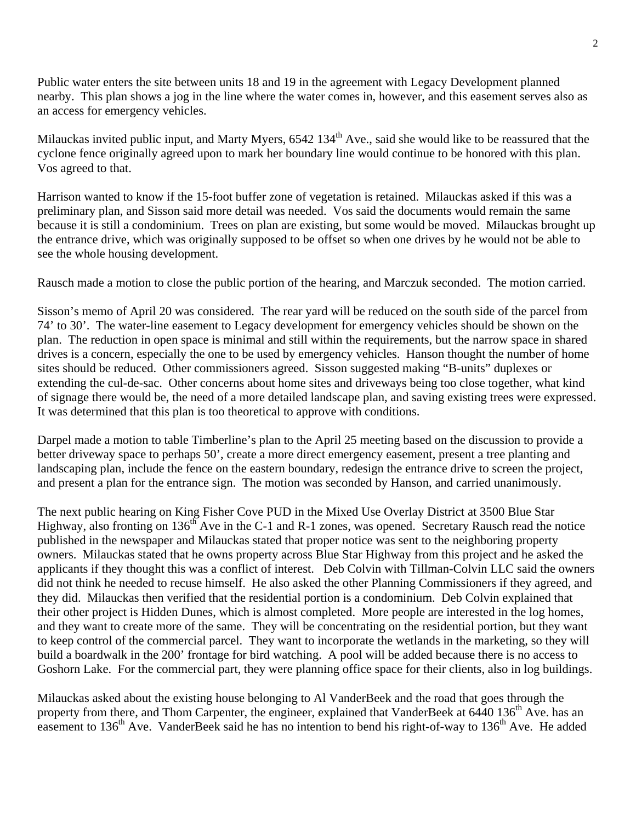Public water enters the site between units 18 and 19 in the agreement with Legacy Development planned nearby. This plan shows a jog in the line where the water comes in, however, and this easement serves also as an access for emergency vehicles.

Milauckas invited public input, and Marty Myers, 6542 134<sup>th</sup> Ave., said she would like to be reassured that the cyclone fence originally agreed upon to mark her boundary line would continue to be honored with this plan. Vos agreed to that.

Harrison wanted to know if the 15-foot buffer zone of vegetation is retained. Milauckas asked if this was a preliminary plan, and Sisson said more detail was needed. Vos said the documents would remain the same because it is still a condominium. Trees on plan are existing, but some would be moved. Milauckas brought up the entrance drive, which was originally supposed to be offset so when one drives by he would not be able to see the whole housing development.

Rausch made a motion to close the public portion of the hearing, and Marczuk seconded. The motion carried.

Sisson's memo of April 20 was considered. The rear yard will be reduced on the south side of the parcel from 74' to 30'. The water-line easement to Legacy development for emergency vehicles should be shown on the plan. The reduction in open space is minimal and still within the requirements, but the narrow space in shared drives is a concern, especially the one to be used by emergency vehicles. Hanson thought the number of home sites should be reduced. Other commissioners agreed. Sisson suggested making "B-units" duplexes or extending the cul-de-sac. Other concerns about home sites and driveways being too close together, what kind of signage there would be, the need of a more detailed landscape plan, and saving existing trees were expressed. It was determined that this plan is too theoretical to approve with conditions.

Darpel made a motion to table Timberline's plan to the April 25 meeting based on the discussion to provide a better driveway space to perhaps 50', create a more direct emergency easement, present a tree planting and landscaping plan, include the fence on the eastern boundary, redesign the entrance drive to screen the project, and present a plan for the entrance sign. The motion was seconded by Hanson, and carried unanimously.

The next public hearing on King Fisher Cove PUD in the Mixed Use Overlay District at 3500 Blue Star Highway, also fronting on 136<sup>th</sup> Ave in the C-1 and R-1 zones, was opened. Secretary Rausch read the notice published in the newspaper and Milauckas stated that proper notice was sent to the neighboring property owners. Milauckas stated that he owns property across Blue Star Highway from this project and he asked the applicants if they thought this was a conflict of interest. Deb Colvin with Tillman-Colvin LLC said the owners did not think he needed to recuse himself. He also asked the other Planning Commissioners if they agreed, and they did. Milauckas then verified that the residential portion is a condominium. Deb Colvin explained that their other project is Hidden Dunes, which is almost completed. More people are interested in the log homes, and they want to create more of the same. They will be concentrating on the residential portion, but they want to keep control of the commercial parcel. They want to incorporate the wetlands in the marketing, so they will build a boardwalk in the 200' frontage for bird watching. A pool will be added because there is no access to Goshorn Lake. For the commercial part, they were planning office space for their clients, also in log buildings.

Milauckas asked about the existing house belonging to Al VanderBeek and the road that goes through the property from there, and Thom Carpenter, the engineer, explained that VanderBeek at 6440 136<sup>th</sup> Ave. has an easement to 136<sup>th</sup> Ave. VanderBeek said he has no intention to bend his right-of-way to 136<sup>th</sup> Ave. He added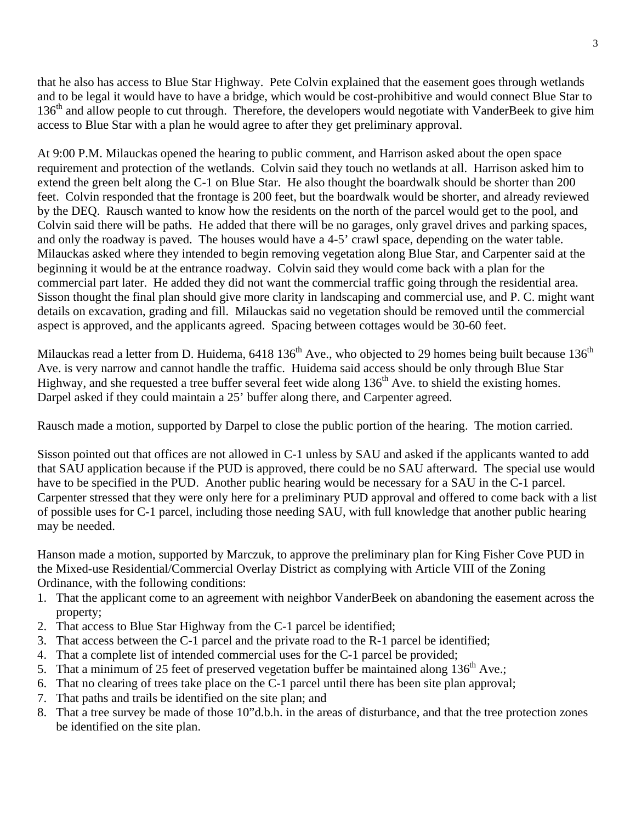that he also has access to Blue Star Highway. Pete Colvin explained that the easement goes through wetlands and to be legal it would have to have a bridge, which would be cost-prohibitive and would connect Blue Star to  $136<sup>th</sup>$  and allow people to cut through. Therefore, the developers would negotiate with VanderBeek to give him access to Blue Star with a plan he would agree to after they get preliminary approval.

At 9:00 P.M. Milauckas opened the hearing to public comment, and Harrison asked about the open space requirement and protection of the wetlands. Colvin said they touch no wetlands at all. Harrison asked him to extend the green belt along the C-1 on Blue Star. He also thought the boardwalk should be shorter than 200 feet. Colvin responded that the frontage is 200 feet, but the boardwalk would be shorter, and already reviewed by the DEQ. Rausch wanted to know how the residents on the north of the parcel would get to the pool, and Colvin said there will be paths. He added that there will be no garages, only gravel drives and parking spaces, and only the roadway is paved. The houses would have a 4-5' crawl space, depending on the water table. Milauckas asked where they intended to begin removing vegetation along Blue Star, and Carpenter said at the beginning it would be at the entrance roadway. Colvin said they would come back with a plan for the commercial part later. He added they did not want the commercial traffic going through the residential area. Sisson thought the final plan should give more clarity in landscaping and commercial use, and P. C. might want details on excavation, grading and fill. Milauckas said no vegetation should be removed until the commercial aspect is approved, and the applicants agreed. Spacing between cottages would be 30-60 feet.

Milauckas read a letter from D. Huidema,  $6418\,136^{th}$  Ave., who objected to 29 homes being built because  $136^{th}$ Ave. is very narrow and cannot handle the traffic. Huidema said access should be only through Blue Star Highway, and she requested a tree buffer several feet wide along  $136<sup>th</sup>$  Ave. to shield the existing homes. Darpel asked if they could maintain a 25' buffer along there, and Carpenter agreed.

Rausch made a motion, supported by Darpel to close the public portion of the hearing. The motion carried.

Sisson pointed out that offices are not allowed in C-1 unless by SAU and asked if the applicants wanted to add that SAU application because if the PUD is approved, there could be no SAU afterward. The special use would have to be specified in the PUD. Another public hearing would be necessary for a SAU in the C-1 parcel. Carpenter stressed that they were only here for a preliminary PUD approval and offered to come back with a list of possible uses for C-1 parcel, including those needing SAU, with full knowledge that another public hearing may be needed.

Hanson made a motion, supported by Marczuk, to approve the preliminary plan for King Fisher Cove PUD in the Mixed-use Residential/Commercial Overlay District as complying with Article VIII of the Zoning Ordinance, with the following conditions:

- 1. That the applicant come to an agreement with neighbor VanderBeek on abandoning the easement across the property;
- 2. That access to Blue Star Highway from the C-1 parcel be identified;
- 3. That access between the C-1 parcel and the private road to the R-1 parcel be identified;
- 4. That a complete list of intended commercial uses for the C-1 parcel be provided;
- 5. That a minimum of 25 feet of preserved vegetation buffer be maintained along  $136<sup>th</sup>$  Ave.;
- 6. That no clearing of trees take place on the C-1 parcel until there has been site plan approval;
- 7. That paths and trails be identified on the site plan; and
- 8. That a tree survey be made of those 10"d.b.h. in the areas of disturbance, and that the tree protection zones be identified on the site plan.